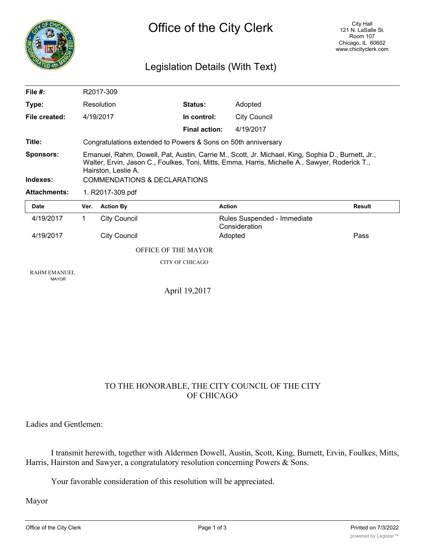

## Legislation Details (With Text)

| File $#$ :                          | R2017-309                                                                                                                                                                                                                                                  |                     |               |                                              |               |
|-------------------------------------|------------------------------------------------------------------------------------------------------------------------------------------------------------------------------------------------------------------------------------------------------------|---------------------|---------------|----------------------------------------------|---------------|
| Type:                               | Resolution                                                                                                                                                                                                                                                 |                     | Status:       | Adopted                                      |               |
| File created:                       |                                                                                                                                                                                                                                                            | 4/19/2017           | In control:   | <b>City Council</b>                          |               |
|                                     |                                                                                                                                                                                                                                                            |                     | Final action: | 4/19/2017                                    |               |
| Title:                              | Congratulations extended to Powers & Sons on 50th anniversary                                                                                                                                                                                              |                     |               |                                              |               |
| <b>Sponsors:</b><br>Indexes:        | Emanuel, Rahm, Dowell, Pat, Austin, Carrie M., Scott, Jr. Michael, King, Sophia D., Burnett, Jr.,<br>Walter, Ervin, Jason C., Foulkes, Toni, Mitts, Emma, Harris, Michelle A., Sawyer, Roderick T.,<br>Hairston, Leslie A.<br>COMMENDATIONS & DECLARATIONS |                     |               |                                              |               |
| <b>Attachments:</b>                 | 1. R2017-309.pdf                                                                                                                                                                                                                                           |                     |               |                                              |               |
| Date                                | Ver.                                                                                                                                                                                                                                                       | <b>Action By</b>    |               | <b>Action</b>                                | <b>Result</b> |
|                                     | 1                                                                                                                                                                                                                                                          |                     |               |                                              |               |
| 4/19/2017                           |                                                                                                                                                                                                                                                            | <b>City Council</b> |               | Rules Suspended - Immediate<br>Consideration |               |
| 4/19/2017                           |                                                                                                                                                                                                                                                            | <b>City Council</b> |               | Adopted                                      | Pass          |
|                                     | OFFICE OF THE MAYOR                                                                                                                                                                                                                                        |                     |               |                                              |               |
|                                     | <b>CITY OF CHICAGO</b>                                                                                                                                                                                                                                     |                     |               |                                              |               |
| <b>RAHM EMANUEL</b><br><b>MAYOR</b> |                                                                                                                                                                                                                                                            |                     |               |                                              |               |
|                                     | April 19,2017                                                                                                                                                                                                                                              |                     |               |                                              |               |

## TO THE HONORABLE, THE CITY COUNCIL OF THE CITY OF CHICAGO

Ladies and Gentlemen:

I transmit herewith, together with Aldermen Dowell, Austin, Scott, King, Burnett, Ervin, Foulkes, Mitts, Harris, Hairston and Sawyer, a congratulatory resolution concerning Powers & Sons.

Your favorable consideration of this resolution will be appreciated.

Mayor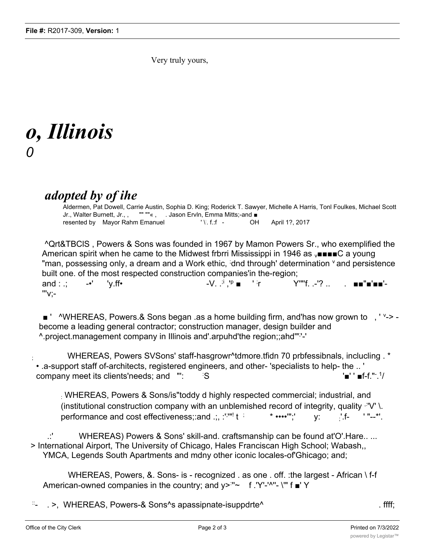Very truly yours,

## *o, Illinois 0*

## *adopted by of ihe*

Aldermen, Pat Dowell, Carrie Austin, Sophia D. King; Roderick T. Sawyer, Michelle A Harris, Tonl Foulkes, Michael Scott Jr., Walter Burnett, Jr., , "" ""« , . Jason Ervln, Emma Mitts;-and ■ resented by Mayor Rahm Emanuel '... f.:f -OH April 1?, 2017

^Qrt&TBClS , Powers & Sons was founded in 1967 by Mamon Powers Sr., who exemplified the American spirit when he came to the Midwest frbrri Mississippi in 1946 as  $\sqrt{\text{max}}$  a young "man, possessing only, a dream and a Work ethic, idnd through' determination <sup>v</sup> and persistence built one. of the most respected construction companies'in the-region;

and : .:  $-•'$   $\vee$  .ff•  $\qquad \qquad -\vee$ . .<sup>;i</sup> ,'<sup>p</sup> ■  $\qquad$ ' ;r Y'"'f -'? '''v;-

■ ' ^WHEREAS, Powers.& Sons began .as a home building firm, and'has now grown to , ' '-> become a leading general contractor; construction manager, design builder and ^.project.management company in Illinois and'.arpuhd'the region;;ahd'"; '-'

; WHEREAS, Powers SVSons' staff-hasgrowr^tdmore.tfidn 70 prbfessibnals, inclucling . \* • .a-support staff of-architects, registered engineers, and other- 'specialists to help- the .. ' company meet its clients'needs; and "': : S '■' " ■f-f."-.<sup>1</sup>

: WHEREAS, Powers & Sons/is"toddy d highly respected commercial; industrial, and (institutional construction company with an unblemished record of integrity, quality  $\mathbb{P}V'$  \. performance and cost effectiveness;:and .;, :'<sup>;'''!</sup>  $*$  ••••'";' y:  $\qquad \qquad$  '  $f-$  ' "--\*'.

WHEREAS) Powers & Sons' skill-and. craftsmanship can be found at'O'.Hare.. ... > International Airport, The University of Chicago, Hales Franciscan High School; Wabash,, YMCA, Legends South Apartments and mdny other iconic locales-of'Ghicago; and;

WHEREAS, Powers, &. Sons- is - recognized . as one . off. :the largest - African \ f-f American-owned companies in the country; and y><sup>:</sup>"~ f .'Y'-'^"- \'" f ■' Y

::- . >, WHEREAS, Powers-& Sons^s apassipnate-isuppdrte^ . ffff;